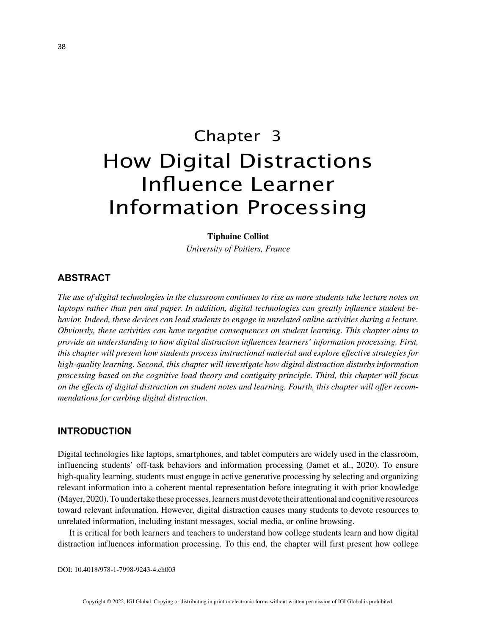# Chapter 3 How Digital Distractions Influence Learner Information Processing

#### **Tiphaine Colliot**

*University of Poitiers, France*

## **ABSTRACT**

*The use of digital technologies in the classroom continues to rise as more students take lecture notes on laptops rather than pen and paper. In addition, digital technologies can greatly influence student behavior. Indeed, these devices can lead students to engage in unrelated online activities during a lecture. Obviously, these activities can have negative consequences on student learning. This chapter aims to provide an understanding to how digital distraction influences learners' information processing. First, this chapter will present how students process instructional material and explore effective strategies for high-quality learning. Second, this chapter will investigate how digital distraction disturbs information processing based on the cognitive load theory and contiguity principle. Third, this chapter will focus on the effects of digital distraction on student notes and learning. Fourth, this chapter will offer recommendations for curbing digital distraction.*

## **INTRODUCTION**

Digital technologies like laptops, smartphones, and tablet computers are widely used in the classroom, influencing students' off-task behaviors and information processing (Jamet et al., 2020). To ensure high-quality learning, students must engage in active generative processing by selecting and organizing relevant information into a coherent mental representation before integrating it with prior knowledge (Mayer, 2020). To undertake these processes, learners must devote their attentional and cognitive resources toward relevant information. However, digital distraction causes many students to devote resources to unrelated information, including instant messages, social media, or online browsing.

It is critical for both learners and teachers to understand how college students learn and how digital distraction influences information processing. To this end, the chapter will first present how college

DOI: 10.4018/978-1-7998-9243-4.ch003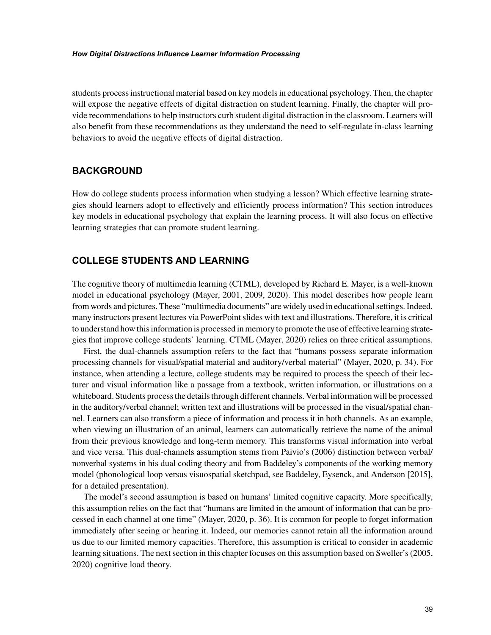#### *How Digital Distractions Influence Learner Information Processing*

students process instructional material based on key models in educational psychology. Then, the chapter will expose the negative effects of digital distraction on student learning. Finally, the chapter will provide recommendations to help instructors curb student digital distraction in the classroom. Learners will also benefit from these recommendations as they understand the need to self-regulate in-class learning behaviors to avoid the negative effects of digital distraction.

## **BACKGROUND**

How do college students process information when studying a lesson? Which effective learning strategies should learners adopt to effectively and efficiently process information? This section introduces key models in educational psychology that explain the learning process. It will also focus on effective learning strategies that can promote student learning.

# **COLLEGE STUDENTS AND LEARNING**

The cognitive theory of multimedia learning (CTML), developed by Richard E. Mayer, is a well-known model in educational psychology (Mayer, 2001, 2009, 2020). This model describes how people learn from words and pictures. These "multimedia documents" are widely used in educational settings. Indeed, many instructors present lectures via PowerPoint slides with text and illustrations. Therefore, it is critical to understand how this information is processed in memory to promote the use of effective learning strategies that improve college students' learning. CTML (Mayer, 2020) relies on three critical assumptions.

First, the dual-channels assumption refers to the fact that "humans possess separate information processing channels for visual/spatial material and auditory/verbal material" (Mayer, 2020, p. 34). For instance, when attending a lecture, college students may be required to process the speech of their lecturer and visual information like a passage from a textbook, written information, or illustrations on a whiteboard. Students process the details through different channels. Verbal information will be processed in the auditory/verbal channel; written text and illustrations will be processed in the visual/spatial channel. Learners can also transform a piece of information and process it in both channels. As an example, when viewing an illustration of an animal, learners can automatically retrieve the name of the animal from their previous knowledge and long-term memory. This transforms visual information into verbal and vice versa. This dual-channels assumption stems from Paivio's (2006) distinction between verbal/ nonverbal systems in his dual coding theory and from Baddeley's components of the working memory model (phonological loop versus visuospatial sketchpad, see Baddeley, Eysenck, and Anderson [2015], for a detailed presentation).

The model's second assumption is based on humans' limited cognitive capacity. More specifically, this assumption relies on the fact that "humans are limited in the amount of information that can be processed in each channel at one time" (Mayer, 2020, p. 36). It is common for people to forget information immediately after seeing or hearing it. Indeed, our memories cannot retain all the information around us due to our limited memory capacities. Therefore, this assumption is critical to consider in academic learning situations. The next section in this chapter focuses on this assumption based on Sweller's (2005, 2020) cognitive load theory.